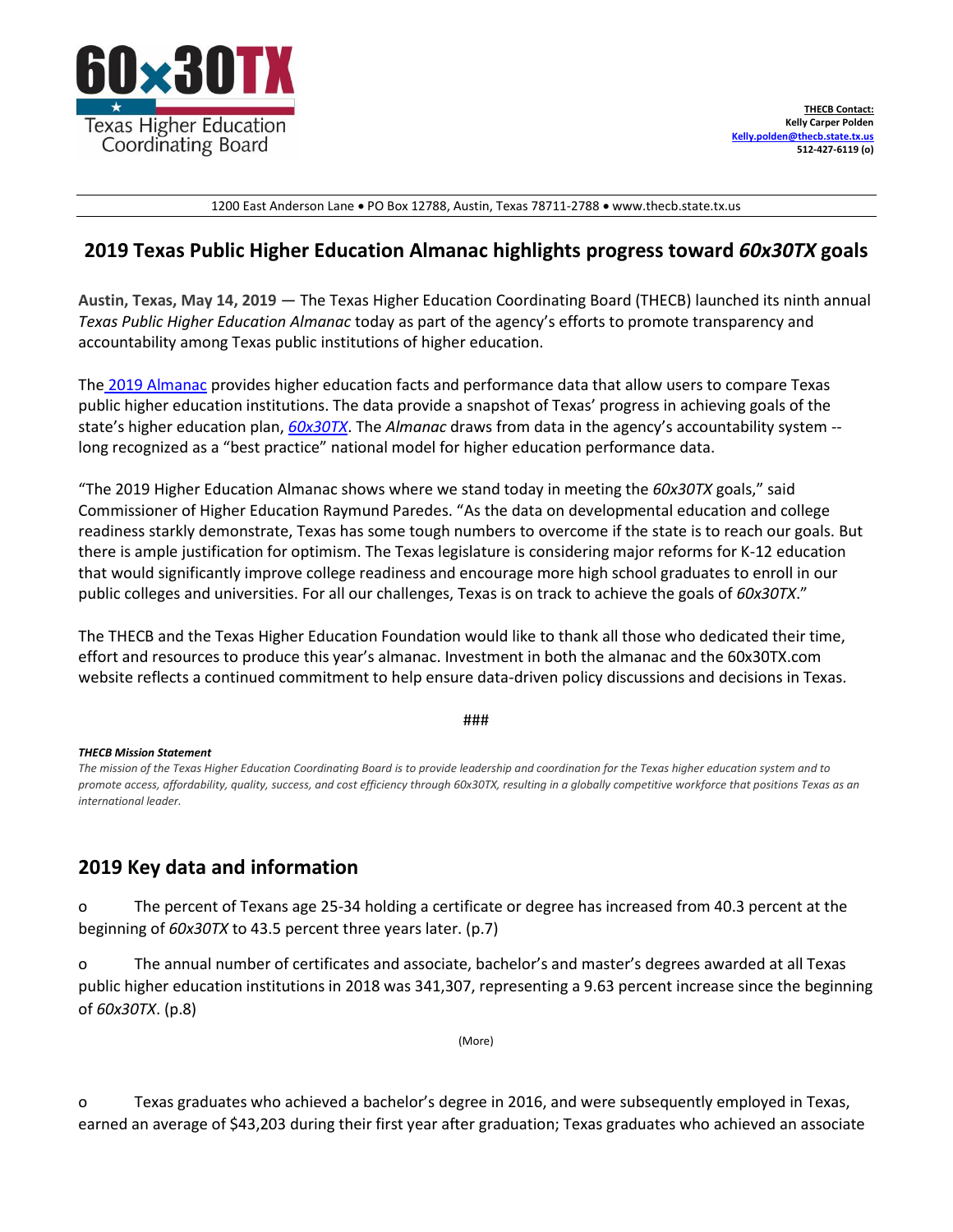

1200 East Anderson Lane • PO Box 12788, Austin, Texas 78711-2788 • www.thecb.state.tx.us

## **2019 Texas Public Higher Education Almanac highlights progress toward** *60x30TX* **goals**

**Austin, Texas, May 14, 2019** — The Texas Higher Education Coordinating Board (THECB) launched its ninth annual *Texas Public Higher Education Almanac* today as part of the agency's efforts to promote transparency and accountability among Texas public institutions of higher education.

The 2019 [Almanac](https://www.paperturn.com/?pid=NDk49834&v=1.1) provides higher education facts and performance data that allow users to compare Texas public higher education institutions. The data provide a snapshot of Texas' progress in achieving goals of the state's higher education plan, *[60x30TX](http://www.thecb.state.tx.us/reports/PDF/9306.PDF?CFID=58691507&CFTOKEN=61155461)*. The *Almanac* draws from data in the agency's accountability system - long recognized as a "best practice" national model for higher education performance data.

"The 2019 Higher Education Almanac shows where we stand today in meeting the *60x30TX* goals," said Commissioner of Higher Education Raymund Paredes. "As the data on developmental education and college readiness starkly demonstrate, Texas has some tough numbers to overcome if the state is to reach our goals. But there is ample justification for optimism. The Texas legislature is considering major reforms for K-12 education that would significantly improve college readiness and encourage more high school graduates to enroll in our public colleges and universities. For all our challenges, Texas is on track to achieve the goals of *60x30TX*."

The THECB and the Texas Higher Education Foundation would like to thank all those who dedicated their time, effort and resources to produce this year's almanac. Investment in both the almanac and the 60x30TX.com website reflects a continued commitment to help ensure data-driven policy discussions and decisions in Texas.

## ###

## *THECB Mission Statement*

*The mission of the Texas Higher Education Coordinating Board is to provide leadership and coordination for the Texas higher education system and to promote access, affordability, quality, success, and cost efficiency through 60x30TX, resulting in a globally competitive workforce that positions Texas as an international leader.*

## **2019 Key data and information**

o The percent of Texans age 25-34 holding a certificate or degree has increased from 40.3 percent at the beginning of *60x30TX* to 43.5 percent three years later. (p.7)

o The annual number of certificates and associate, bachelor's and master's degrees awarded at all Texas public higher education institutions in 2018 was 341,307, representing a 9.63 percent increase since the beginning of *60x30TX*. (p.8)

```
(More)
```
o Texas graduates who achieved a bachelor's degree in 2016, and were subsequently employed in Texas, earned an average of \$43,203 during their first year after graduation; Texas graduates who achieved an associate